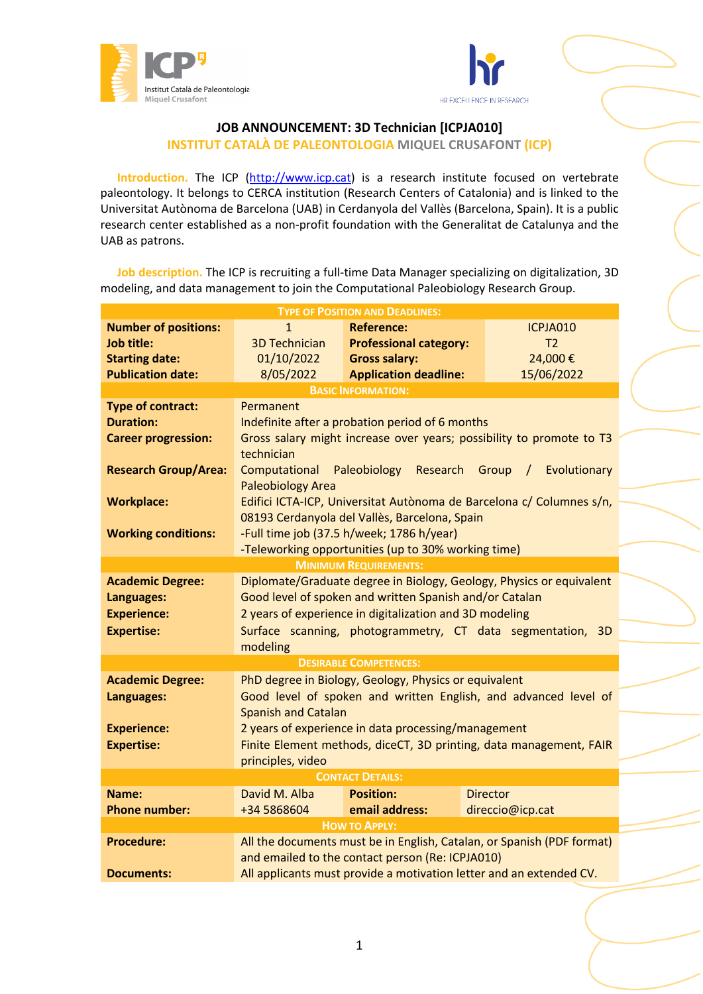



## **JOB ANNOUNCEMENT: 3D Technician [ICPJA010]**

**INSTITUT CATALÀ DE PALEONTOLOGIA MIQUEL CRUSAFONT (ICP)**

Introduction. The ICP (http://www.icp.cat) is a research institute focused on vertebrate paleontology. It belongs to CERCA institution (Research Centers of Catalonia) and is linked to the Universitat Autònoma de Barcelona (UAB) in Cerdanyola del Vallès (Barcelona, Spain). It is a public research center established as a non-profit foundation with the Generalitat de Catalunya and the UAB as patrons.

**Job description.** The ICP is recruiting a full-time Data Manager specializing on digitalization, 3D modeling, and data management to join the Computational Paleobiology Research Group.

| <b>TYPE OF POSITION AND DEADLINES:</b> |                                                                         |                               |                                                                      |  |  |  |
|----------------------------------------|-------------------------------------------------------------------------|-------------------------------|----------------------------------------------------------------------|--|--|--|
| <b>Number of positions:</b>            | $\mathbf{1}$                                                            | <b>Reference:</b>             | ICPJA010                                                             |  |  |  |
| <b>Job title:</b>                      | <b>3D Technician</b>                                                    | <b>Professional category:</b> | T <sub>2</sub>                                                       |  |  |  |
| <b>Starting date:</b>                  | 01/10/2022                                                              | <b>Gross salary:</b>          | 24,000€                                                              |  |  |  |
| <b>Publication date:</b>               | 8/05/2022                                                               | <b>Application deadline:</b>  | 15/06/2022                                                           |  |  |  |
| <b>BASIC INFORMATION:</b>              |                                                                         |                               |                                                                      |  |  |  |
| <b>Type of contract:</b>               | Permanent                                                               |                               |                                                                      |  |  |  |
| <b>Duration:</b>                       | Indefinite after a probation period of 6 months                         |                               |                                                                      |  |  |  |
| <b>Career progression:</b>             | Gross salary might increase over years; possibility to promote to T3    |                               |                                                                      |  |  |  |
|                                        | technician                                                              |                               |                                                                      |  |  |  |
| <b>Research Group/Area:</b>            | Computational Paleobiology Research Group<br>Evolutionary<br>$\sqrt{2}$ |                               |                                                                      |  |  |  |
|                                        | <b>Paleobiology Area</b>                                                |                               |                                                                      |  |  |  |
| <b>Workplace:</b>                      | Edifici ICTA-ICP, Universitat Autònoma de Barcelona c/ Columnes s/n,    |                               |                                                                      |  |  |  |
|                                        | 08193 Cerdanyola del Vallès, Barcelona, Spain                           |                               |                                                                      |  |  |  |
| <b>Working conditions:</b>             | -Full time job (37.5 h/week; 1786 h/year)                               |                               |                                                                      |  |  |  |
|                                        | -Teleworking opportunities (up to 30% working time)                     |                               |                                                                      |  |  |  |
| <b>MINIMUM REQUIREMENTS:</b>           |                                                                         |                               |                                                                      |  |  |  |
| <b>Academic Degree:</b>                |                                                                         |                               | Diplomate/Graduate degree in Biology, Geology, Physics or equivalent |  |  |  |
| Languages:                             | Good level of spoken and written Spanish and/or Catalan                 |                               |                                                                      |  |  |  |
| <b>Experience:</b>                     | 2 years of experience in digitalization and 3D modeling                 |                               |                                                                      |  |  |  |
| <b>Expertise:</b>                      | Surface scanning, photogrammetry, CT data segmentation, 3D              |                               |                                                                      |  |  |  |
|                                        | modeling                                                                |                               |                                                                      |  |  |  |
| <b>DESIRABLE COMPETENCES:</b>          |                                                                         |                               |                                                                      |  |  |  |
| <b>Academic Degree:</b>                | PhD degree in Biology, Geology, Physics or equivalent                   |                               |                                                                      |  |  |  |
| Languages:                             | Good level of spoken and written English, and advanced level of         |                               |                                                                      |  |  |  |
|                                        | <b>Spanish and Catalan</b>                                              |                               |                                                                      |  |  |  |
| <b>Experience:</b>                     | 2 years of experience in data processing/management                     |                               |                                                                      |  |  |  |
| <b>Expertise:</b>                      | Finite Element methods, diceCT, 3D printing, data management, FAIR      |                               |                                                                      |  |  |  |
|                                        | principles, video                                                       |                               |                                                                      |  |  |  |
|                                        |                                                                         | <b>CONTACT DETAILS:</b>       |                                                                      |  |  |  |
| Name:                                  | David M. Alba                                                           | <b>Position:</b>              | <b>Director</b>                                                      |  |  |  |
| <b>Phone number:</b>                   | +34 5868604                                                             | email address:                | direccio@icp.cat                                                     |  |  |  |
| <b>HOW TO APPLY:</b>                   |                                                                         |                               |                                                                      |  |  |  |
| <b>Procedure:</b>                      | All the documents must be in English, Catalan, or Spanish (PDF format)  |                               |                                                                      |  |  |  |
|                                        | and emailed to the contact person (Re: ICPJA010)                        |                               |                                                                      |  |  |  |
| <b>Documents:</b>                      | All applicants must provide a motivation letter and an extended CV.     |                               |                                                                      |  |  |  |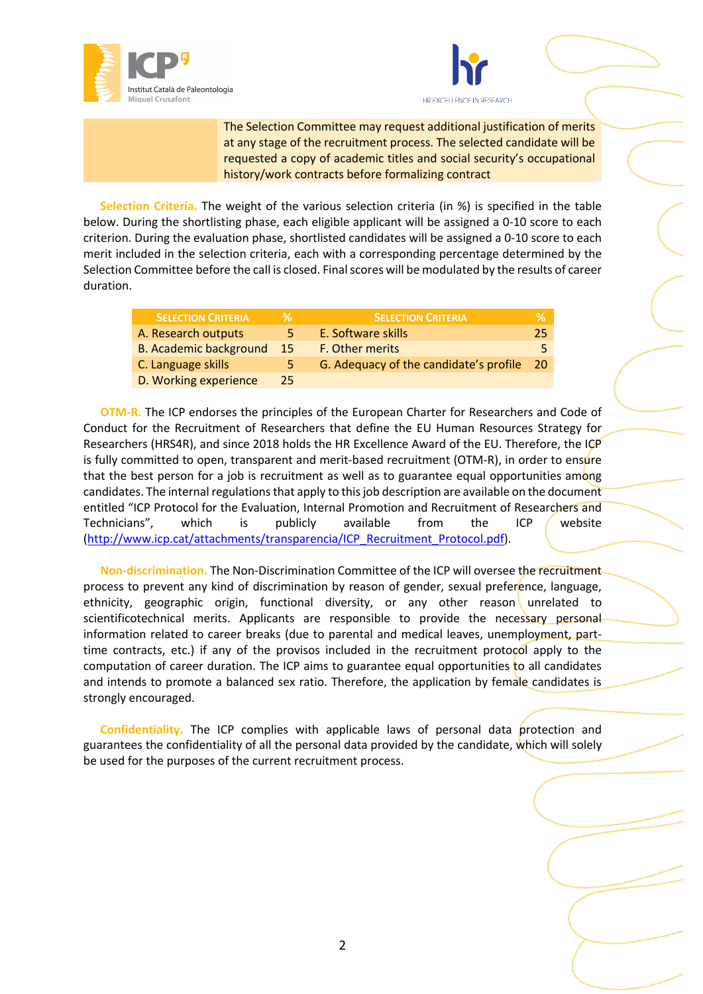



The Selection Committee may request additional justification of merits at any stage of the recruitment process. The selected candidate will be requested a copy of academic titles and social security's occupational history/work contracts before formalizing contract

**Selection Criteria.** The weight of the various selection criteria (in %) is specified in the table below. During the shortlisting phase, each eligible applicant will be assigned a 0-10 score to each criterion. During the evaluation phase, shortlisted candidates will be assigned a 0-10 score to each merit included in the selection criteria, each with a corresponding percentage determined by the Selection Committee before the call is closed. Final scores will be modulated by the results of career duration.

| <b>SELECTION CRITERIA</b>     |     | <b>SELECTION CRITERIA</b>              |      |
|-------------------------------|-----|----------------------------------------|------|
| A. Research outputs           | 5   | E. Software skills                     | 25   |
| <b>B. Academic background</b> | -15 | F. Other merits                        | 5    |
| C. Language skills            | 5.  | G. Adequacy of the candidate's profile | - 20 |
| D. Working experience         | 25  |                                        |      |

**OTM-R.** The ICP endorses the principles of the European Charter for Researchers and Code of Conduct for the Recruitment of Researchers that define the EU Human Resources Strategy for Researchers (HRS4R), and since 2018 holds the HR Excellence Award of the EU. Therefore, the ICP is fully committed to open, transparent and merit-based recruitment (OTM-R), in order to ensure that the best person for a job is recruitment as well as to guarantee equal opportunities among candidates. The internal regulations that apply to this job description are available on the document entitled "ICP Protocol for the Evaluation, Internal Promotion and Recruitment of Researchers and Technicians", which is publicly available from the ICP website (http://www.icp.cat/attachments/transparencia/ICP\_Recruitment\_Protocol.pdf).

**Non-discrimination.** The Non-Discrimination Committee of the ICP will oversee the recruitment process to prevent any kind of discrimination by reason of gender, sexual preference, language, ethnicity, geographic origin, functional diversity, or any other reason unrelated to scientificotechnical merits. Applicants are responsible to provide the necessary personal information related to career breaks (due to parental and medical leaves, unemployment, parttime contracts, etc.) if any of the provisos included in the recruitment protocol apply to the computation of career duration. The ICP aims to guarantee equal opportunities to all candidates and intends to promote a balanced sex ratio. Therefore, the application by female candidates is strongly encouraged.

Confidentiality. The ICP complies with applicable laws of personal data protection and guarantees the confidentiality of all the personal data provided by the candidate, which will solely be used for the purposes of the current recruitment process.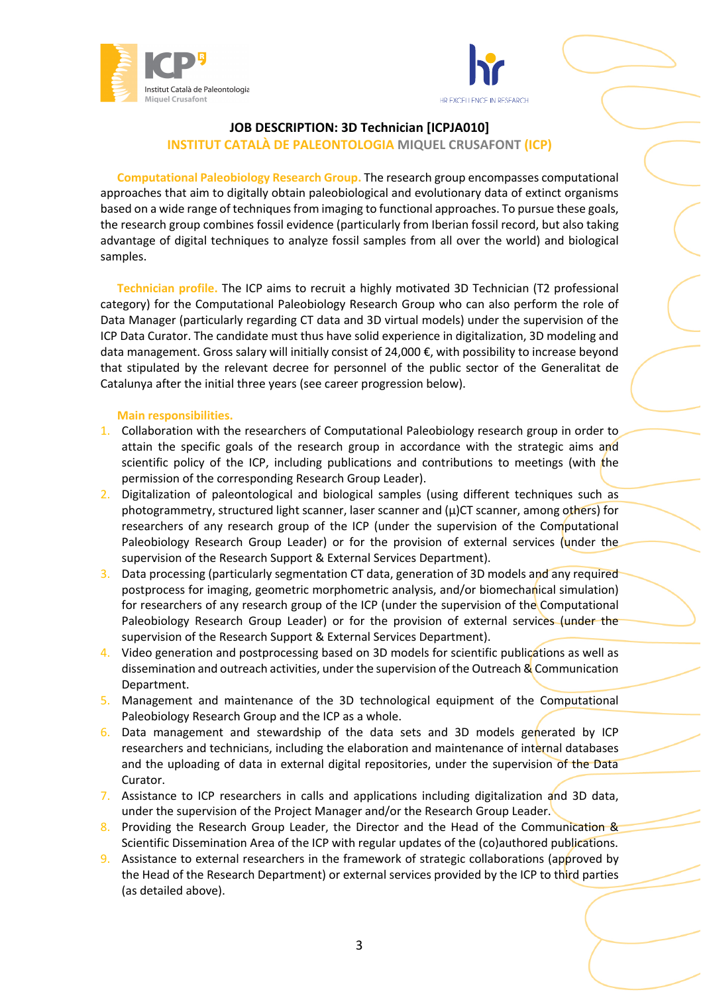



## **JOB DESCRIPTION: 3D Technician [ICPJA010] INSTITUT CATALÀ DE PALEONTOLOGIA MIQUEL CRUSAFONT (ICP)**

**Computational Paleobiology Research Group.** The research group encompasses computational approaches that aim to digitally obtain paleobiological and evolutionary data of extinct organisms based on a wide range of techniques from imaging to functional approaches. To pursue these goals, the research group combines fossil evidence (particularly from Iberian fossil record, but also taking advantage of digital techniques to analyze fossil samples from all over the world) and biological samples.

**Technician profile.** The ICP aims to recruit a highly motivated 3D Technician (T2 professional category) for the Computational Paleobiology Research Group who can also perform the role of Data Manager (particularly regarding CT data and 3D virtual models) under the supervision of the ICP Data Curator. The candidate must thus have solid experience in digitalization, 3D modeling and data management. Gross salary will initially consist of 24,000 €, with possibility to increase beyond that stipulated by the relevant decree for personnel of the public sector of the Generalitat de Catalunya after the initial three years (see career progression below).

## **Main responsibilities.**

- 1. Collaboration with the researchers of Computational Paleobiology research group in order to attain the specific goals of the research group in accordance with the strategic aims and scientific policy of the ICP, including publications and contributions to meetings (with the permission of the corresponding Research Group Leader).
- 2. Digitalization of paleontological and biological samples (using different techniques such as photogrammetry, structured light scanner, laser scanner and  $(\mu)$ CT scanner, among others) for researchers of any research group of the ICP (under the supervision of the Computational Paleobiology Research Group Leader) or for the provision of external services (under the supervision of the Research Support & External Services Department).
- 3. Data processing (particularly segmentation CT data, generation of 3D models and any required postprocess for imaging, geometric morphometric analysis, and/or biomechanical simulation) for researchers of any research group of the ICP (under the supervision of the Computational Paleobiology Research Group Leader) or for the provision of external services (under the supervision of the Research Support & External Services Department).
- 4. Video generation and postprocessing based on 3D models for scientific publications as well as dissemination and outreach activities, under the supervision of the Outreach & Communication Department.
- 5. Management and maintenance of the 3D technological equipment of the Computational Paleobiology Research Group and the ICP as a whole.
- 6. Data management and stewardship of the data sets and 3D models generated by ICP researchers and technicians, including the elaboration and maintenance of internal databases and the uploading of data in external digital repositories, under the supervision of the Data Curator.
- 7. Assistance to ICP researchers in calls and applications including digitalization and 3D data, under the supervision of the Project Manager and/or the Research Group Leader.
- 8. Providing the Research Group Leader, the Director and the Head of the Communication & Scientific Dissemination Area of the ICP with regular updates of the (co)authored publications.
- 9. Assistance to external researchers in the framework of strategic collaborations (approved by the Head of the Research Department) or external services provided by the ICP to third parties (as detailed above).